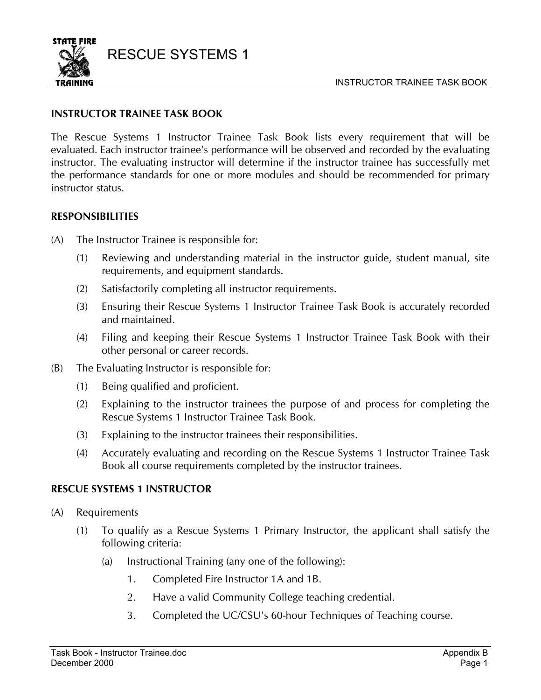

## **INSTRUCTOR TRAINEE TASK BOOK**

The Rescue Systems 1 Instructor Trainee Task Book lists every requirement that will be evaluated. Each instructor trainee's performance will be observed and recorded by the evaluating instructor. The evaluating instructor will determine if the instructor trainee has successfully met the performance standards for one or more modules and should be recommended for primary instructor status.

## **RESPONSIBILITIES**

- (A) The Instructor Trainee is responsible for:
	- (1) Reviewing and understanding material in the instructor guide, student manual, site requirements, and equipment standards.
	- (2) Satisfactorily completing all instructor requirements.
	- (3) Ensuring their Rescue Systems 1 Instructor Trainee Task Book is accurately recorded and maintained.
	- (4) Filing and keeping their Rescue Systems 1 Instructor Trainee Task Book with their other personal or career records.
- (B) The Evaluating Instructor is responsible for:
	- (1) Being qualified and proficient.
	- (2) Explaining to the instructor trainees the purpose of and process for completing the Rescue Systems 1 Instructor Trainee Task Book.
	- (3) Explaining to the instructor trainees their responsibilities.
	- (4) Accurately evaluating and recording on the Rescue Systems 1 Instructor Trainee Task Book all course requirements completed by the instructor trainees.

### **RESCUE SYSTEMS 1 INSTRUCTOR**

- (A) Requirements
	- (1) To qualify as a Rescue Systems 1 Primary Instructor, the applicant shall satisfy the following criteria:
		- (a) Instructional Training (any one of the following):
			- 1. Completed Fire Instructor 1A and 1B.
			- 2. Have a valid Community College teaching credential.
			- 3. Completed the UC/CSU's 60-hour Techniques of Teaching course.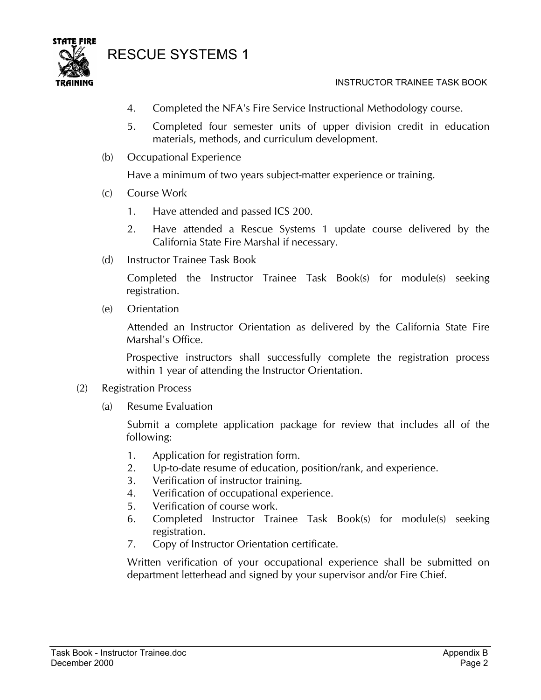



- 4. Completed the NFA's Fire Service Instructional Methodology course.
- 5. Completed four semester units of upper division credit in education materials, methods, and curriculum development.
- (b) Occupational Experience

Have a minimum of two years subject-matter experience or training.

- (c) Course Work
	- 1. Have attended and passed ICS 200.
	- 2. Have attended a Rescue Systems 1 update course delivered by the California State Fire Marshal if necessary.
- (d) Instructor Trainee Task Book

Completed the Instructor Trainee Task Book(s) for module(s) seeking registration.

(e) Orientation

Attended an Instructor Orientation as delivered by the California State Fire Marshal's Office.

Prospective instructors shall successfully complete the registration process within 1 year of attending the Instructor Orientation.

- (2) Registration Process
	- (a) Resume Evaluation

Submit a complete application package for review that includes all of the following:

- 1. Application for registration form.
- 2. Up-to-date resume of education, position/rank, and experience.
- 3. Verification of instructor training.
- 4. Verification of occupational experience.
- 5. Verification of course work.
- 6. Completed Instructor Trainee Task Book(s) for module(s) seeking registration.
- 7. Copy of Instructor Orientation certificate.

Written verification of your occupational experience shall be submitted on department letterhead and signed by your supervisor and/or Fire Chief.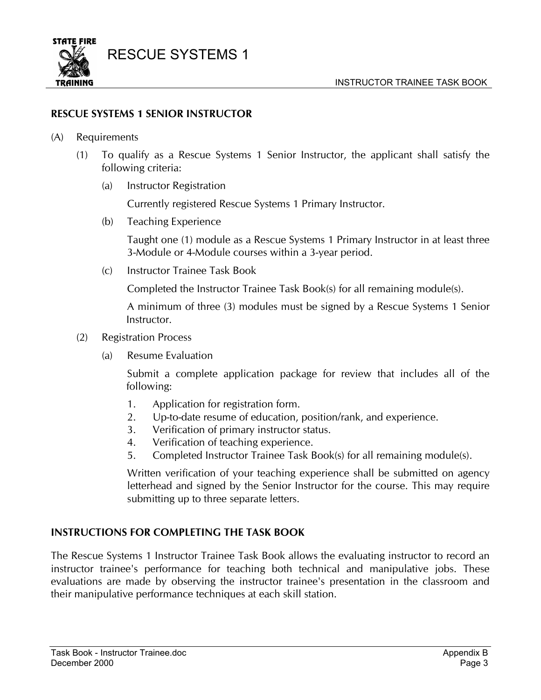

## **RESCUE SYSTEMS 1 SENIOR INSTRUCTOR**

- (A) Requirements
	- (1) To qualify as a Rescue Systems 1 Senior Instructor, the applicant shall satisfy the following criteria:
		- (a) Instructor Registration

Currently registered Rescue Systems 1 Primary Instructor.

(b) Teaching Experience

Taught one (1) module as a Rescue Systems 1 Primary Instructor in at least three 3-Module or 4-Module courses within a 3-year period.

(c) Instructor Trainee Task Book

Completed the Instructor Trainee Task Book(s) for all remaining module(s).

A minimum of three (3) modules must be signed by a Rescue Systems 1 Senior Instructor.

- (2) Registration Process
	- (a) Resume Evaluation

Submit a complete application package for review that includes all of the following:

- 1. Application for registration form.
- 2. Up-to-date resume of education, position/rank, and experience.
- 3. Verification of primary instructor status.
- 4. Verification of teaching experience.
- 5. Completed Instructor Trainee Task Book(s) for all remaining module(s).

Written verification of your teaching experience shall be submitted on agency letterhead and signed by the Senior Instructor for the course. This may require submitting up to three separate letters.

### **INSTRUCTIONS FOR COMPLETING THE TASK BOOK**

The Rescue Systems 1 Instructor Trainee Task Book allows the evaluating instructor to record an instructor trainee's performance for teaching both technical and manipulative jobs. These evaluations are made by observing the instructor trainee's presentation in the classroom and their manipulative performance techniques at each skill station.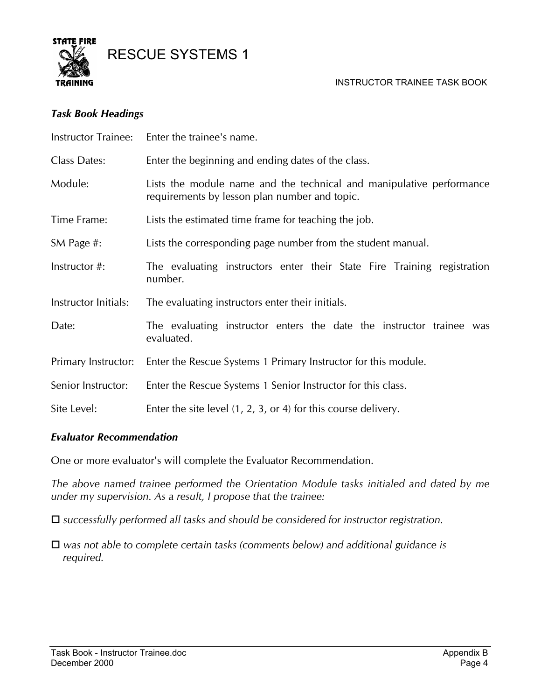

#### *Task Book Headings*

| <b>Instructor Trainee:</b> | Enter the trainee's name.                                                                                             |  |  |  |  |  |
|----------------------------|-----------------------------------------------------------------------------------------------------------------------|--|--|--|--|--|
| Class Dates:               | Enter the beginning and ending dates of the class.                                                                    |  |  |  |  |  |
| Module:                    | Lists the module name and the technical and manipulative performance<br>requirements by lesson plan number and topic. |  |  |  |  |  |
| Time Frame:                | Lists the estimated time frame for teaching the job.                                                                  |  |  |  |  |  |
| SM Page #:                 | Lists the corresponding page number from the student manual.                                                          |  |  |  |  |  |
| Instructor #:              | The evaluating instructors enter their State Fire Training registration<br>number.                                    |  |  |  |  |  |
| Instructor Initials:       | The evaluating instructors enter their initials.                                                                      |  |  |  |  |  |
| Date:                      | The evaluating instructor enters the date the instructor trainee was<br>evaluated.                                    |  |  |  |  |  |
| Primary Instructor:        | Enter the Rescue Systems 1 Primary Instructor for this module.                                                        |  |  |  |  |  |
| Senior Instructor:         | Enter the Rescue Systems 1 Senior Instructor for this class.                                                          |  |  |  |  |  |
| Site Level:                | Enter the site level $(1, 2, 3, 0r 4)$ for this course delivery.                                                      |  |  |  |  |  |

### *Evaluator Recommendation*

One or more evaluator's will complete the Evaluator Recommendation.

*The above named trainee performed the Orientation Module tasks initialed and dated by me under my supervision. As a result, I propose that the trainee:* 

*successfully performed all tasks and should be considered for instructor registration.* 

 *was not able to complete certain tasks (comments below) and additional guidance is required.*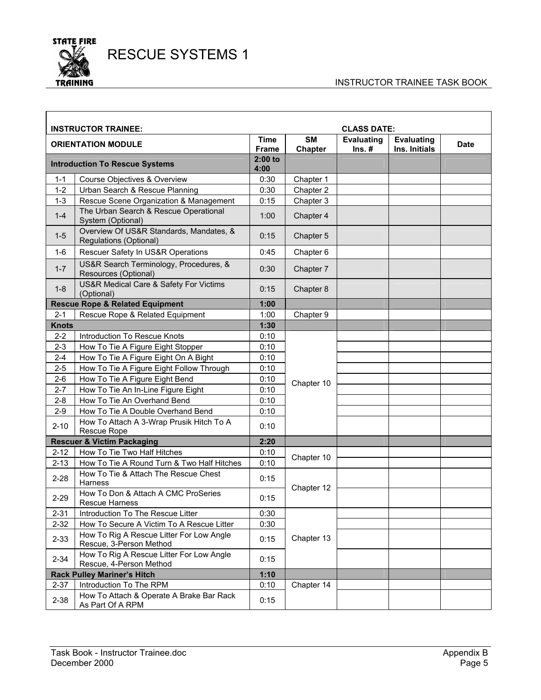

#### INSTRUCTOR TRAINEE TASK BOOK

٦

|              | <b>INSTRUCTOR TRAINEE:</b>                                          |                             |                             | <b>CLASS DATE:</b>            |                                    |             |
|--------------|---------------------------------------------------------------------|-----------------------------|-----------------------------|-------------------------------|------------------------------------|-------------|
|              | <b>ORIENTATION MODULE</b>                                           | <b>Time</b><br><b>Frame</b> | <b>SM</b><br><b>Chapter</b> | <b>Evaluating</b><br>$Ins. #$ | <b>Evaluating</b><br>Ins. Initials | <b>Date</b> |
|              | <b>Introduction To Rescue Systems</b>                               | $2:00$ to<br>4:00           |                             |                               |                                    |             |
| $1 - 1$      | Course Objectives & Overview                                        | 0:30                        | Chapter 1                   |                               |                                    |             |
| $1 - 2$      | Urban Search & Rescue Planning                                      | 0:30                        | Chapter 2                   |                               |                                    |             |
| $1 - 3$      | Rescue Scene Organization & Management                              | 0:15                        | Chapter 3                   |                               |                                    |             |
| $1 - 4$      | The Urban Search & Rescue Operational<br>System (Optional)          | 1:00                        | Chapter 4                   |                               |                                    |             |
| $1-5$        | Overview Of US&R Standards, Mandates, &<br>Regulations (Optional)   | 0:15                        | Chapter 5                   |                               |                                    |             |
| $1 - 6$      | Rescuer Safety In US&R Operations                                   | 0:45                        | Chapter 6                   |                               |                                    |             |
| $1 - 7$      | US&R Search Terminology, Procedures, &<br>Resources (Optional)      | 0:30                        | Chapter 7                   |                               |                                    |             |
| $1 - 8$      | US&R Medical Care & Safety For Victims<br>(Optional)                | 0:15                        | Chapter 8                   |                               |                                    |             |
|              | <b>Rescue Rope &amp; Related Equipment</b>                          | 1:00                        |                             |                               |                                    |             |
| $2 - 1$      | Rescue Rope & Related Equipment                                     | 1:00                        | Chapter 9                   |                               |                                    |             |
| <b>Knots</b> |                                                                     | 1:30                        |                             |                               |                                    |             |
| $2 - 2$      | Introduction To Rescue Knots                                        | 0:10                        |                             |                               |                                    |             |
| $2 - 3$      | How To Tie A Figure Eight Stopper                                   | 0:10                        |                             |                               |                                    |             |
| $2 - 4$      | How To Tie A Figure Eight On A Bight                                | 0:10                        |                             |                               |                                    |             |
| $2 - 5$      | How To Tie A Figure Eight Follow Through                            | 0:10                        |                             |                               |                                    |             |
| $2 - 6$      | How To Tie A Figure Eight Bend                                      | 0:10                        | Chapter 10                  |                               |                                    |             |
| $2 - 7$      | How To Tie An In-Line Figure Eight                                  | 0:10                        |                             |                               |                                    |             |
| $2 - 8$      | How To Tie An Overhand Bend                                         | 0:10                        |                             |                               |                                    |             |
| $2 - 9$      | How To Tie A Double Overhand Bend                                   | 0:10                        |                             |                               |                                    |             |
| $2 - 10$     | How To Attach A 3-Wrap Prusik Hitch To A<br>Rescue Rope             | 0:10                        |                             |                               |                                    |             |
|              | <b>Rescuer &amp; Victim Packaging</b>                               | 2:20                        |                             |                               |                                    |             |
| $2 - 12$     | How To Tie Two Half Hitches                                         | 0:10                        | Chapter 10                  |                               |                                    |             |
| $2 - 13$     | How To Tie A Round Turn & Two Half Hitches                          | 0:10                        |                             |                               |                                    |             |
| $2 - 28$     | How To Tie & Attach The Rescue Chest<br>Harness                     | 0:15                        | Chapter 12                  |                               |                                    |             |
| $2 - 29$     | How To Don & Attach A CMC ProSeries<br><b>Rescue Harness</b>        | 0:15                        |                             |                               |                                    |             |
| $2 - 31$     | Introduction To The Rescue Litter                                   | 0:30                        |                             |                               |                                    |             |
| $2 - 32$     | How To Secure A Victim To A Rescue Litter                           | 0:30                        |                             |                               |                                    |             |
| $2 - 33$     | How To Rig A Rescue Litter For Low Angle<br>Rescue, 3-Person Method | 0:15                        | Chapter 13                  |                               |                                    |             |
| $2 - 34$     | How To Rig A Rescue Litter For Low Angle<br>Rescue, 4-Person Method | 0:15                        |                             |                               |                                    |             |
|              | <b>Rack Pulley Mariner's Hitch</b>                                  | 1:10                        |                             |                               |                                    |             |
| $2 - 37$     | Introduction To The RPM                                             | 0:10                        | Chapter 14                  |                               |                                    |             |
| $2 - 38$     | How To Attach & Operate A Brake Bar Rack<br>As Part Of A RPM        | 0:15                        |                             |                               |                                    |             |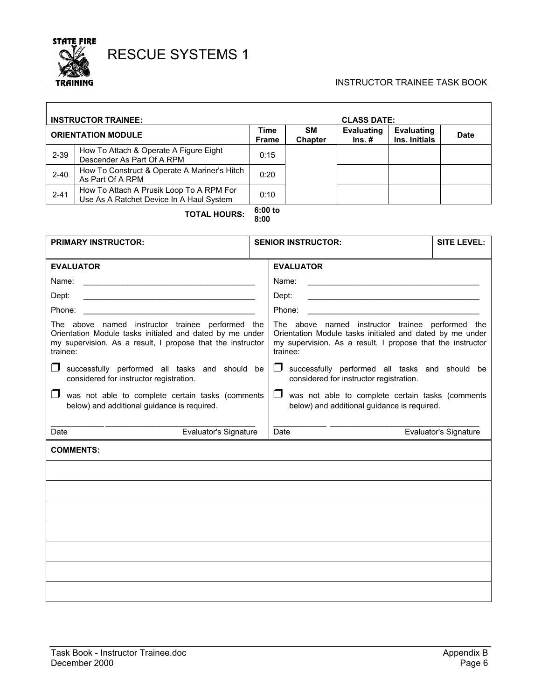

 $\sqrt{ }$ 

# RESCUE SYSTEMS 1

#### INSTRUCTOR TRAINEE TASK BOOK

| <b>INSTRUCTOR TRAINEE:</b> |                                                                                      |                      | <b>CLASS DATE:</b>          |                                   |                                    |             |
|----------------------------|--------------------------------------------------------------------------------------|----------------------|-----------------------------|-----------------------------------|------------------------------------|-------------|
| <b>ORIENTATION MODULE</b>  |                                                                                      | Time<br><b>Frame</b> | <b>SM</b><br><b>Chapter</b> | Evaluating<br>$\mathsf{Ins}.\,\#$ | <b>Evaluating</b><br>Ins. Initials | <b>Date</b> |
| $2 - 39$                   | How To Attach & Operate A Figure Eight<br>Descender As Part Of A RPM                 | 0:15                 |                             |                                   |                                    |             |
| $2 - 40$                   | How To Construct & Operate A Mariner's Hitch<br>As Part Of A RPM                     | 0:20                 |                             |                                   |                                    |             |
| $2 - 41$                   | How To Attach A Prusik Loop To A RPM For<br>Use As A Ratchet Device In A Haul System | 0:10                 |                             |                                   |                                    |             |

**TOTAL HOURS: 6:00 to 8:00** 

| <b>PRIMARY INSTRUCTOR:</b>                                                                                                                                                                                                                                                                                                 | <b>SENIOR INSTRUCTOR:</b> | <b>SITE LEVEL:</b>                                                                                                                                                                                                                                                                                                                                                                                                                                          |                              |
|----------------------------------------------------------------------------------------------------------------------------------------------------------------------------------------------------------------------------------------------------------------------------------------------------------------------------|---------------------------|-------------------------------------------------------------------------------------------------------------------------------------------------------------------------------------------------------------------------------------------------------------------------------------------------------------------------------------------------------------------------------------------------------------------------------------------------------------|------------------------------|
| <b>EVALUATOR</b><br>Dept:<br>The above named instructor trainee performed the<br>Orientation Module tasks initialed and dated by me under<br>my supervision. As a result, I propose that the instructor<br>trainee:<br>$\Box$<br>successfully performed all tasks and should be<br>considered for instructor registration. |                           | <b>EVALUATOR</b><br>Name:<br><u> Alexandria de la contrada de la contrada de la contrada de la contrada de la contrada de la contrada de la c</u><br>Dept:<br>The above named instructor trainee performed the<br>Orientation Module tasks initialed and dated by me under<br>my supervision. As a result, I propose that the instructor<br>trainee:<br>$\Box$<br>successfully performed all tasks and should be<br>considered for instructor registration. |                              |
| $\Box$ was not able to complete certain tasks (comments<br>below) and additional guidance is required.                                                                                                                                                                                                                     |                           | $\Box$<br>was not able to complete certain tasks (comments<br>below) and additional guidance is required.                                                                                                                                                                                                                                                                                                                                                   |                              |
| Evaluator's Signature<br>Date                                                                                                                                                                                                                                                                                              |                           | Date                                                                                                                                                                                                                                                                                                                                                                                                                                                        | <b>Evaluator's Signature</b> |
| <b>COMMENTS:</b>                                                                                                                                                                                                                                                                                                           |                           |                                                                                                                                                                                                                                                                                                                                                                                                                                                             |                              |
|                                                                                                                                                                                                                                                                                                                            |                           |                                                                                                                                                                                                                                                                                                                                                                                                                                                             |                              |
|                                                                                                                                                                                                                                                                                                                            |                           |                                                                                                                                                                                                                                                                                                                                                                                                                                                             |                              |
|                                                                                                                                                                                                                                                                                                                            |                           |                                                                                                                                                                                                                                                                                                                                                                                                                                                             |                              |
|                                                                                                                                                                                                                                                                                                                            |                           |                                                                                                                                                                                                                                                                                                                                                                                                                                                             |                              |
|                                                                                                                                                                                                                                                                                                                            |                           |                                                                                                                                                                                                                                                                                                                                                                                                                                                             |                              |
|                                                                                                                                                                                                                                                                                                                            |                           |                                                                                                                                                                                                                                                                                                                                                                                                                                                             |                              |
|                                                                                                                                                                                                                                                                                                                            |                           |                                                                                                                                                                                                                                                                                                                                                                                                                                                             |                              |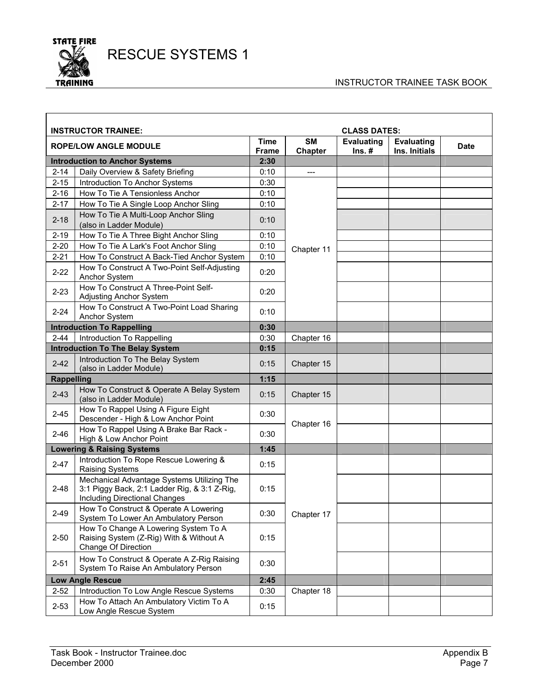

#### INSTRUCTOR TRAINEE TASK BOOK

| <b>INSTRUCTOR TRAINEE:</b><br><b>CLASS DATES:</b> |                                                                                                                             |                             |                             |                               |                                    |             |
|---------------------------------------------------|-----------------------------------------------------------------------------------------------------------------------------|-----------------------------|-----------------------------|-------------------------------|------------------------------------|-------------|
|                                                   | <b>ROPE/LOW ANGLE MODULE</b>                                                                                                | <b>Time</b><br><b>Frame</b> | <b>SM</b><br><b>Chapter</b> | <b>Evaluating</b><br>$Ins.$ # | <b>Evaluating</b><br>Ins. Initials | <b>Date</b> |
|                                                   | <b>Introduction to Anchor Systems</b>                                                                                       | 2:30                        |                             |                               |                                    |             |
| $2 - 14$                                          | Daily Overview & Safety Briefing                                                                                            | 0:10                        | $---$                       |                               |                                    |             |
| $2 - 15$                                          | Introduction To Anchor Systems                                                                                              | 0:30                        |                             |                               |                                    |             |
| $2 - 16$                                          | How To Tie A Tensionless Anchor                                                                                             | 0:10                        |                             |                               |                                    |             |
| $2 - 17$                                          | How To Tie A Single Loop Anchor Sling                                                                                       | 0:10                        |                             |                               |                                    |             |
| $2 - 18$                                          | How To Tie A Multi-Loop Anchor Sling<br>(also in Ladder Module)                                                             | 0:10                        |                             |                               |                                    |             |
| $2 - 19$                                          | How To Tie A Three Bight Anchor Sling                                                                                       | 0:10                        |                             |                               |                                    |             |
| $2 - 20$                                          | How To Tie A Lark's Foot Anchor Sling                                                                                       | 0:10                        | Chapter 11                  |                               |                                    |             |
| $2 - 21$                                          | How To Construct A Back-Tied Anchor System                                                                                  | 0:10                        |                             |                               |                                    |             |
| $2 - 22$                                          | How To Construct A Two-Point Self-Adjusting<br>Anchor System                                                                | 0:20                        |                             |                               |                                    |             |
| $2 - 23$                                          | How To Construct A Three-Point Self-<br>Adjusting Anchor System                                                             | 0:20                        |                             |                               |                                    |             |
| $2 - 24$                                          | How To Construct A Two-Point Load Sharing<br>Anchor System                                                                  | 0:10                        |                             |                               |                                    |             |
|                                                   | <b>Introduction To Rappelling</b>                                                                                           | 0:30                        |                             |                               |                                    |             |
| $2 - 44$                                          | Introduction To Rappelling                                                                                                  | 0:30                        | Chapter 16                  |                               |                                    |             |
|                                                   | <b>Introduction To The Belay System</b>                                                                                     | 0:15                        |                             |                               |                                    |             |
| $2 - 42$                                          | Introduction To The Belay System<br>(also in Ladder Module)                                                                 | 0:15                        | Chapter 15                  |                               |                                    |             |
| <b>Rappelling</b>                                 |                                                                                                                             | 1:15                        |                             |                               |                                    |             |
| $2 - 43$                                          | How To Construct & Operate A Belay System<br>(also in Ladder Module)                                                        | 0:15                        | Chapter 15                  |                               |                                    |             |
| $2 - 45$                                          | How To Rappel Using A Figure Eight<br>Descender - High & Low Anchor Point                                                   | 0:30                        | Chapter 16                  |                               |                                    |             |
| $2 - 46$                                          | How To Rappel Using A Brake Bar Rack -<br>High & Low Anchor Point                                                           | 0:30                        |                             |                               |                                    |             |
|                                                   | <b>Lowering &amp; Raising Systems</b>                                                                                       | 1:45                        |                             |                               |                                    |             |
| $2 - 47$                                          | Introduction To Rope Rescue Lowering &<br><b>Raising Systems</b>                                                            | 0:15                        |                             |                               |                                    |             |
| $2 - 48$                                          | Mechanical Advantage Systems Utilizing The<br>3:1 Piggy Back, 2:1 Ladder Rig, & 3:1 Z-Rig,<br>Including Directional Changes | 0:15                        |                             |                               |                                    |             |
| $2 - 49$                                          | How To Construct & Operate A Lowering<br>System To Lower An Ambulatory Person                                               | 0:30                        | Chapter 17                  |                               |                                    |             |
| $2 - 50$                                          | How To Change A Lowering System To A<br>Raising System (Z-Rig) With & Without A<br>Change Of Direction                      | 0:15                        |                             |                               |                                    |             |
| $2 - 51$                                          | How To Construct & Operate A Z-Rig Raising<br>System To Raise An Ambulatory Person                                          | 0:30                        |                             |                               |                                    |             |
|                                                   | <b>Low Angle Rescue</b>                                                                                                     | 2:45                        |                             |                               |                                    |             |
| $2 - 52$                                          | Introduction To Low Angle Rescue Systems                                                                                    | 0:30                        | Chapter 18                  |                               |                                    |             |
| $2 - 53$                                          | How To Attach An Ambulatory Victim To A<br>Low Angle Rescue System                                                          | 0:15                        |                             |                               |                                    |             |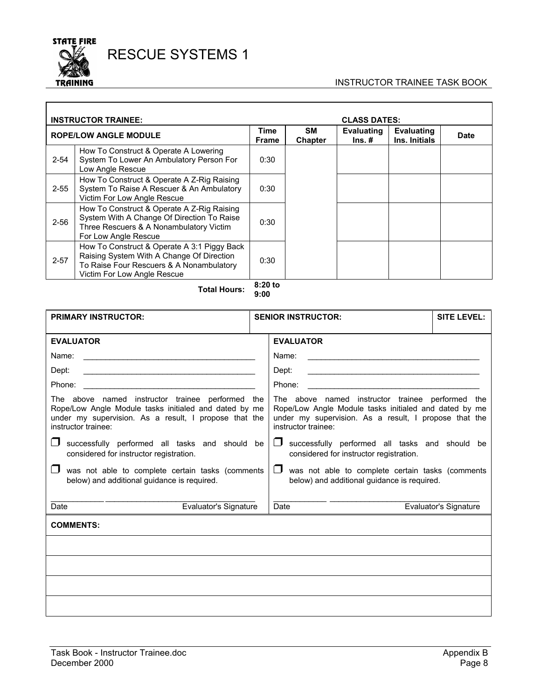

 $\overline{\phantom{a}}$ 

# RESCUE SYSTEMS 1

#### INSTRUCTOR TRAINEE TASK BOOK

| <b>INSTRUCTOR TRAINEE:</b> |                                                                                                                                                                     |               | <b>CLASS DATES:</b>         |                               |                                    |             |
|----------------------------|---------------------------------------------------------------------------------------------------------------------------------------------------------------------|---------------|-----------------------------|-------------------------------|------------------------------------|-------------|
|                            | <b>ROPE/LOW ANGLE MODULE</b>                                                                                                                                        | Time<br>Frame | <b>SM</b><br><b>Chapter</b> | <b>Evaluating</b><br>$Ins. #$ | <b>Evaluating</b><br>Ins. Initials | <b>Date</b> |
| $2 - 54$                   | How To Construct & Operate A Lowering<br>System To Lower An Ambulatory Person For<br>Low Angle Rescue                                                               | 0:30          |                             |                               |                                    |             |
| $2 - 55$                   | How To Construct & Operate A Z-Rig Raising<br>System To Raise A Rescuer & An Ambulatory<br>Victim For Low Angle Rescue                                              | 0:30          |                             |                               |                                    |             |
| $2 - 56$                   | How To Construct & Operate A Z-Rig Raising<br>System With A Change Of Direction To Raise<br>Three Rescuers & A Nonambulatory Victim<br>For Low Angle Rescue         | 0:30          |                             |                               |                                    |             |
| $2 - 57$                   | How To Construct & Operate A 3:1 Piggy Back<br>Raising System With A Change Of Direction<br>To Raise Four Rescuers & A Nonambulatory<br>Victim For Low Angle Rescue | 0:30          |                             |                               |                                    |             |

**Total Hours: 8:20 to 9:00** 

| <b>PRIMARY INSTRUCTOR:</b>                                                                                                                                                                | <b>SENIOR INSTRUCTOR:</b>                                                                                                                                                                 | <b>SITE LEVEL:</b>           |
|-------------------------------------------------------------------------------------------------------------------------------------------------------------------------------------------|-------------------------------------------------------------------------------------------------------------------------------------------------------------------------------------------|------------------------------|
| <b>EVALUATOR</b>                                                                                                                                                                          | <b>EVALUATOR</b>                                                                                                                                                                          |                              |
| Name:<br><u> 1980 - Jan Stein Stein Stein Stein Stein Stein Stein Stein Stein Stein Stein Stein Stein Stein Stein Stein S</u>                                                             | Name:<br><u>and the state of the state of the state of the state of the state of the state of the state of the state of th</u>                                                            |                              |
| Dept:                                                                                                                                                                                     | Dept:<br><u> 1980 - Johann Stein, mars an de Britannich (b. 1980)</u>                                                                                                                     |                              |
|                                                                                                                                                                                           | Phone:                                                                                                                                                                                    |                              |
| The above named instructor trainee performed the<br>Rope/Low Angle Module tasks initialed and dated by me<br>under my supervision. As a result, I propose that the<br>instructor trainee: | The above named instructor trainee performed the<br>Rope/Low Angle Module tasks initialed and dated by me<br>under my supervision. As a result, I propose that the<br>instructor trainee: |                              |
| successfully performed all tasks and should be<br>considered for instructor registration.                                                                                                 | $\Box$ successfully performed all tasks and should be<br>considered for instructor registration.                                                                                          |                              |
| was not able to complete certain tasks (comments<br>below) and additional guidance is required.                                                                                           | $\mathsf{L}$<br>was not able to complete certain tasks (comments<br>below) and additional guidance is required.                                                                           |                              |
| Date<br><b>Evaluator's Signature</b>                                                                                                                                                      | <b>Date</b>                                                                                                                                                                               | <b>Evaluator's Signature</b> |
| <b>COMMENTS:</b>                                                                                                                                                                          |                                                                                                                                                                                           |                              |
|                                                                                                                                                                                           |                                                                                                                                                                                           |                              |
|                                                                                                                                                                                           |                                                                                                                                                                                           |                              |
|                                                                                                                                                                                           |                                                                                                                                                                                           |                              |
|                                                                                                                                                                                           |                                                                                                                                                                                           |                              |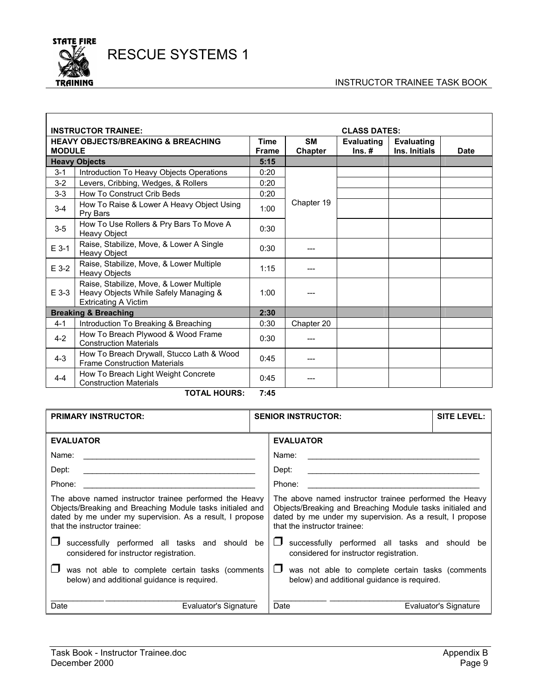

 $\Gamma$ 

RESCUE SYSTEMS 1

#### INSTRUCTOR TRAINEE TASK BOOK

| <b>CLASS DATES:</b><br><b>INSTRUCTOR TRAINEE:</b> |                                                                                                                  |                             |                             |                                 |                                    |      |
|---------------------------------------------------|------------------------------------------------------------------------------------------------------------------|-----------------------------|-----------------------------|---------------------------------|------------------------------------|------|
| <b>MODULE</b>                                     | <b>HEAVY OBJECTS/BREAKING &amp; BREACHING</b>                                                                    | <b>Time</b><br><b>Frame</b> | <b>SM</b><br><b>Chapter</b> | <b>Evaluating</b><br>$\ln s.$ # | <b>Evaluating</b><br>Ins. Initials | Date |
|                                                   | <b>Heavy Objects</b>                                                                                             | 5:15                        |                             |                                 |                                    |      |
| $3 - 1$                                           | Introduction To Heavy Objects Operations                                                                         | 0:20                        |                             |                                 |                                    |      |
| $3 - 2$                                           | Levers, Cribbing, Wedges, & Rollers                                                                              | 0:20                        |                             |                                 |                                    |      |
| $3-3$                                             | <b>How To Construct Crib Beds</b>                                                                                | 0:20                        |                             |                                 |                                    |      |
| $3 - 4$                                           | How To Raise & Lower A Heavy Object Using<br>Pry Bars                                                            | 1:00                        | Chapter 19                  |                                 |                                    |      |
| $3-5$                                             | How To Use Rollers & Pry Bars To Move A<br>Heavy Object                                                          | 0:30                        |                             |                                 |                                    |      |
| $E$ 3-1                                           | Raise, Stabilize, Move, & Lower A Single<br>Heavy Object                                                         | 0:30                        |                             |                                 |                                    |      |
| E 3-2                                             | Raise, Stabilize, Move, & Lower Multiple<br><b>Heavy Objects</b>                                                 | 1:15                        |                             |                                 |                                    |      |
| $E$ 3-3                                           | Raise, Stabilize, Move, & Lower Multiple<br>Heavy Objects While Safely Managing &<br><b>Extricating A Victim</b> | 1:00                        |                             |                                 |                                    |      |
|                                                   | <b>Breaking &amp; Breaching</b>                                                                                  | 2:30                        |                             |                                 |                                    |      |
| $4 - 1$                                           | Introduction To Breaking & Breaching                                                                             | 0:30                        | Chapter 20                  |                                 |                                    |      |
| $4 - 2$                                           | How To Breach Plywood & Wood Frame<br><b>Construction Materials</b>                                              | 0:30                        |                             |                                 |                                    |      |
| $4 - 3$                                           | How To Breach Drywall, Stucco Lath & Wood<br><b>Frame Construction Materials</b>                                 | 0:45                        | ---                         |                                 |                                    |      |
| $4 - 4$                                           | How To Breach Light Weight Concrete<br><b>Construction Materials</b>                                             | 0:45                        |                             |                                 |                                    |      |

**TOTAL HOURS: 7:45** 

| <b>PRIMARY INSTRUCTOR:</b>                                                                                                                                                                                      |                                                                                                                                                                                                                 | <b>SENIOR INSTRUCTOR:</b>                                                                       | <b>SITE LEVEL:</b>    |  |
|-----------------------------------------------------------------------------------------------------------------------------------------------------------------------------------------------------------------|-----------------------------------------------------------------------------------------------------------------------------------------------------------------------------------------------------------------|-------------------------------------------------------------------------------------------------|-----------------------|--|
| <b>EVALUATOR</b>                                                                                                                                                                                                |                                                                                                                                                                                                                 | <b>EVALUATOR</b>                                                                                |                       |  |
| Name:                                                                                                                                                                                                           |                                                                                                                                                                                                                 | Name:                                                                                           |                       |  |
| Dept:                                                                                                                                                                                                           |                                                                                                                                                                                                                 | Dept:                                                                                           |                       |  |
| Phone:                                                                                                                                                                                                          |                                                                                                                                                                                                                 | Phone:                                                                                          |                       |  |
| The above named instructor trainee performed the Heavy<br>Objects/Breaking and Breaching Module tasks initialed and<br>dated by me under my supervision. As a result, I propose<br>that the instructor trainee: | The above named instructor trainee performed the Heavy<br>Objects/Breaking and Breaching Module tasks initialed and<br>dated by me under my supervision. As a result, I propose<br>that the instructor trainee: |                                                                                                 |                       |  |
| successfully performed all tasks and should be<br>considered for instructor registration.                                                                                                                       |                                                                                                                                                                                                                 | successfully performed all tasks and should be<br>considered for instructor registration.       |                       |  |
| was not able to complete certain tasks (comments<br>below) and additional guidance is required.                                                                                                                 |                                                                                                                                                                                                                 | was not able to complete certain tasks (comments<br>below) and additional guidance is required. |                       |  |
| Date<br>Evaluator's Signature                                                                                                                                                                                   |                                                                                                                                                                                                                 | Date                                                                                            | Evaluator's Signature |  |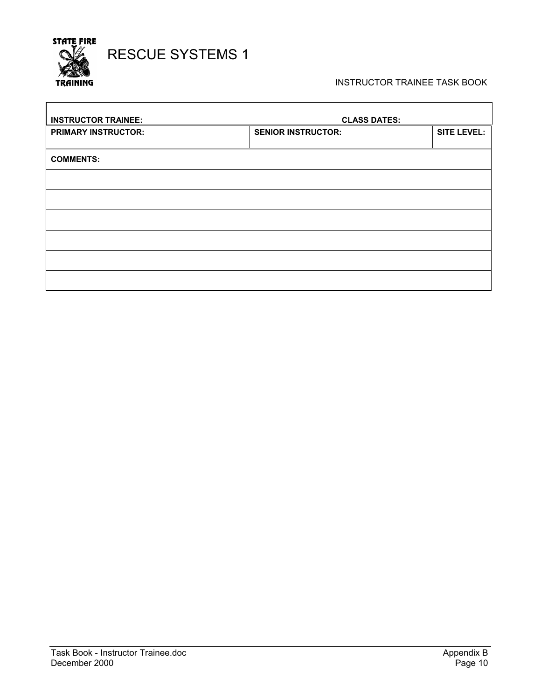

 $\overline{\Gamma}$ 

#### INSTRUCTOR TRAINEE TASK BOOK

٦

| <b>INSTRUCTOR TRAINEE:</b> | <b>CLASS DATES:</b>       |                    |
|----------------------------|---------------------------|--------------------|
| <b>PRIMARY INSTRUCTOR:</b> | <b>SENIOR INSTRUCTOR:</b> | <b>SITE LEVEL:</b> |
|                            |                           |                    |
| <b>COMMENTS:</b>           |                           |                    |
|                            |                           |                    |
|                            |                           |                    |
|                            |                           |                    |
|                            |                           |                    |
|                            |                           |                    |
|                            |                           |                    |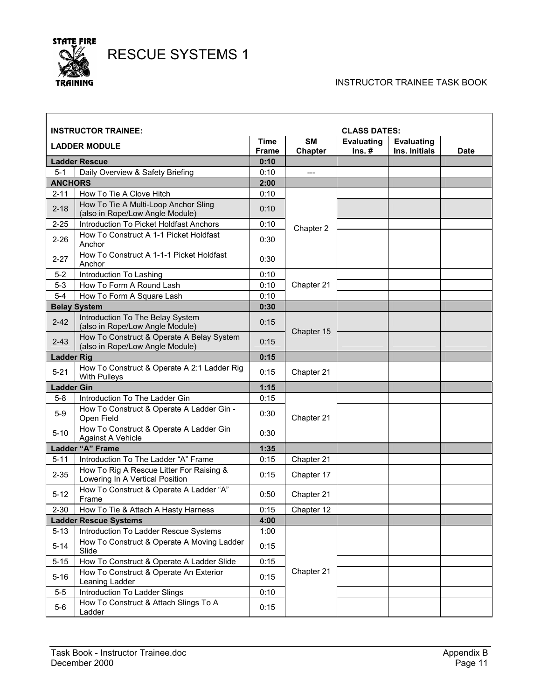

#### INSTRUCTOR TRAINEE TASK BOOK

| <b>INSTRUCTOR TRAINEE:</b><br><b>CLASS DATES:</b> |                                                                              |                             |                             |                               |                                    |      |
|---------------------------------------------------|------------------------------------------------------------------------------|-----------------------------|-----------------------------|-------------------------------|------------------------------------|------|
|                                                   | <b>LADDER MODULE</b>                                                         | <b>Time</b><br><b>Frame</b> | <b>SM</b><br><b>Chapter</b> | <b>Evaluating</b><br>$Ins. #$ | <b>Evaluating</b><br>Ins. Initials | Date |
|                                                   | <b>Ladder Rescue</b>                                                         | 0:10                        |                             |                               |                                    |      |
| $5 - 1$                                           | Daily Overview & Safety Briefing                                             | 0:10                        | ---                         |                               |                                    |      |
| <b>ANCHORS</b>                                    |                                                                              | 2:00                        |                             |                               |                                    |      |
| $2 - 11$                                          | How To Tie A Clove Hitch                                                     | 0:10                        |                             |                               |                                    |      |
| $2 - 18$                                          | How To Tie A Multi-Loop Anchor Sling<br>(also in Rope/Low Angle Module)      | 0:10                        |                             |                               |                                    |      |
| $2 - 25$                                          | Introduction To Picket Holdfast Anchors                                      | 0:10                        | Chapter 2                   |                               |                                    |      |
| $2 - 26$                                          | How To Construct A 1-1 Picket Holdfast<br>Anchor                             | 0:30                        |                             |                               |                                    |      |
| $2 - 27$                                          | How To Construct A 1-1-1 Picket Holdfast<br>Anchor                           | 0:30                        |                             |                               |                                    |      |
| $5 - 2$                                           | Introduction To Lashing                                                      | 0:10                        |                             |                               |                                    |      |
| $5-3$                                             | How To Form A Round Lash                                                     | 0:10                        | Chapter 21                  |                               |                                    |      |
| $5-4$                                             | How To Form A Square Lash                                                    | 0:10                        |                             |                               |                                    |      |
|                                                   | <b>Belay System</b>                                                          | 0:30                        |                             |                               |                                    |      |
| $2 - 42$                                          | Introduction To The Belay System<br>(also in Rope/Low Angle Module)          | 0:15                        | Chapter 15                  |                               |                                    |      |
| $2 - 43$                                          | How To Construct & Operate A Belay System<br>(also in Rope/Low Angle Module) | 0:15                        |                             |                               |                                    |      |
| <b>Ladder Rig</b>                                 |                                                                              | 0:15                        |                             |                               |                                    |      |
| $5 - 21$                                          | How To Construct & Operate A 2:1 Ladder Rig<br>With Pulleys                  | 0:15                        | Chapter 21                  |                               |                                    |      |
| <b>Ladder Gin</b>                                 |                                                                              | 1:15                        |                             |                               |                                    |      |
| $5-8$                                             | Introduction To The Ladder Gin                                               | 0:15                        |                             |                               |                                    |      |
| $5-9$                                             | How To Construct & Operate A Ladder Gin -<br>Open Field                      | 0:30                        | Chapter 21                  |                               |                                    |      |
| $5 - 10$                                          | How To Construct & Operate A Ladder Gin<br>Against A Vehicle                 | 0:30                        |                             |                               |                                    |      |
|                                                   | Ladder "A" Frame                                                             | 1:35                        |                             |                               |                                    |      |
| $5 - 11$                                          | Introduction To The Ladder "A" Frame                                         | 0:15                        | Chapter 21                  |                               |                                    |      |
| $2 - 35$                                          | How To Rig A Rescue Litter For Raising &<br>Lowering In A Vertical Position  | 0:15                        | Chapter 17                  |                               |                                    |      |
| $5 - 12$                                          | How To Construct & Operate A Ladder "A"<br>Frame                             | 0:50                        | Chapter 21                  |                               |                                    |      |
| $2 - 30$                                          | How To Tie & Attach A Hasty Harness                                          | 0:15                        | Chapter 12                  |                               |                                    |      |
|                                                   | <b>Ladder Rescue Systems</b>                                                 | 4:00                        |                             |                               |                                    |      |
| $5 - 13$                                          | Introduction To Ladder Rescue Systems                                        | 1:00                        |                             |                               |                                    |      |
| $5 - 14$                                          | How To Construct & Operate A Moving Ladder<br>Slide                          | 0:15                        |                             |                               |                                    |      |
| $5 - 15$                                          | How To Construct & Operate A Ladder Slide                                    | 0:15                        |                             |                               |                                    |      |
| $5 - 16$                                          | How To Construct & Operate An Exterior<br>Leaning Ladder                     | 0:15                        | Chapter 21                  |                               |                                    |      |
| $5-5$                                             | Introduction To Ladder Slings                                                | 0:10                        |                             |                               |                                    |      |
| $5-6$                                             | How To Construct & Attach Slings To A<br>Ladder                              | 0:15                        |                             |                               |                                    |      |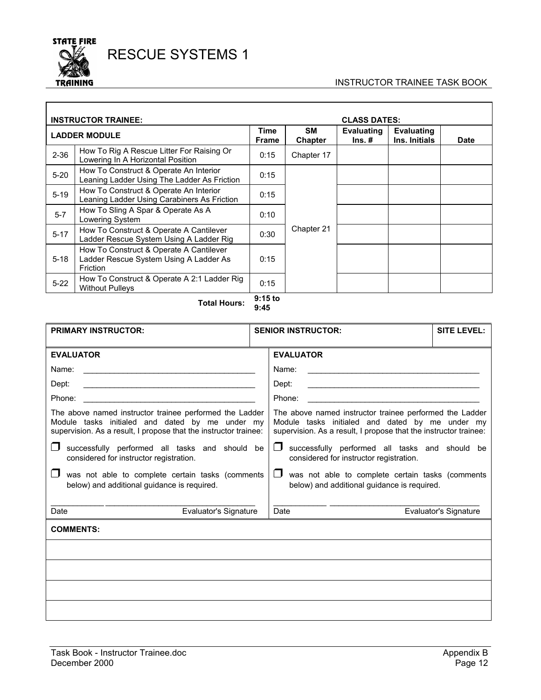

 $\overline{\phantom{a}}$ 

#### INSTRUCTOR TRAINEE TASK BOOK

| <b>INSTRUCTOR TRAINEE:</b> |                                                                                               |                             | <b>CLASS DATES:</b>  |                                          |                                    |             |
|----------------------------|-----------------------------------------------------------------------------------------------|-----------------------------|----------------------|------------------------------------------|------------------------------------|-------------|
|                            | <b>LADDER MODULE</b>                                                                          | <b>Time</b><br><b>Frame</b> | <b>SM</b><br>Chapter | <b>Evaluating</b><br>$\mathsf{Ins}.\ \#$ | <b>Evaluating</b><br>Ins. Initials | <b>Date</b> |
| $2 - 36$                   | How To Rig A Rescue Litter For Raising Or<br>Lowering In A Horizontal Position                | 0:15                        | Chapter 17           |                                          |                                    |             |
| $5 - 20$                   | How To Construct & Operate An Interior<br>Leaning Ladder Using The Ladder As Friction         | 0:15                        |                      |                                          |                                    |             |
| $5 - 19$                   | How To Construct & Operate An Interior<br>Leaning Ladder Using Carabiners As Friction         | 0:15                        |                      |                                          |                                    |             |
| $5-7$                      | How To Sling A Spar & Operate As A<br>Lowering System                                         | 0:10                        |                      |                                          |                                    |             |
| $5 - 17$                   | How To Construct & Operate A Cantilever<br>Ladder Rescue System Using A Ladder Rig            | 0:30                        | Chapter 21           |                                          |                                    |             |
| $5 - 18$                   | How To Construct & Operate A Cantilever<br>Ladder Rescue System Using A Ladder As<br>Friction | 0:15                        |                      |                                          |                                    |             |
| $5 - 22$                   | How To Construct & Operate A 2:1 Ladder Rig<br><b>Without Pulleys</b>                         | 0:15                        |                      |                                          |                                    |             |

**Total Hours: 9:15 to 9:45** 

| <b>PRIMARY INSTRUCTOR:</b>                                                                                                                                                     | <b>SENIOR INSTRUCTOR:</b>                                                                                                                                                      |                                                                                                           | <b>SITE LEVEL:</b>    |  |  |
|--------------------------------------------------------------------------------------------------------------------------------------------------------------------------------|--------------------------------------------------------------------------------------------------------------------------------------------------------------------------------|-----------------------------------------------------------------------------------------------------------|-----------------------|--|--|
| <b>EVALUATOR</b>                                                                                                                                                               |                                                                                                                                                                                | <b>EVALUATOR</b>                                                                                          |                       |  |  |
| Name:<br><u> 1989 - Jan Barbara de Santo III e al Indonesia de la conte</u>                                                                                                    |                                                                                                                                                                                | Name:<br><u> 1989 - Johann Stein, fransk politik (f. 1989)</u>                                            |                       |  |  |
| Dept:<br><u> 1989 - Johann Harry Harry Harry Harry Harry Harry Harry Harry Harry Harry Harry Harry Harry Harry Harry Harry</u>                                                 |                                                                                                                                                                                | Dept:                                                                                                     |                       |  |  |
| Phone:                                                                                                                                                                         |                                                                                                                                                                                | Phone:                                                                                                    |                       |  |  |
| The above named instructor trainee performed the Ladder<br>Module tasks initialed and dated by me under my<br>supervision. As a result, I propose that the instructor trainee: | The above named instructor trainee performed the Ladder<br>Module tasks initialed and dated by me under my<br>supervision. As a result, I propose that the instructor trainee: |                                                                                                           |                       |  |  |
| l 1<br>successfully performed all tasks and should be<br>considered for instructor registration.                                                                               | $\Box$ successfully performed all tasks and should be<br>considered for instructor registration.                                                                               |                                                                                                           |                       |  |  |
| was not able to complete certain tasks (comments<br>below) and additional guidance is required.                                                                                |                                                                                                                                                                                | was not able to complete certain tasks (comments<br>$\Box$<br>below) and additional guidance is required. |                       |  |  |
| Date<br>Evaluator's Signature                                                                                                                                                  |                                                                                                                                                                                | Date                                                                                                      | Evaluator's Signature |  |  |
| <b>COMMENTS:</b>                                                                                                                                                               |                                                                                                                                                                                |                                                                                                           |                       |  |  |
|                                                                                                                                                                                |                                                                                                                                                                                |                                                                                                           |                       |  |  |
|                                                                                                                                                                                |                                                                                                                                                                                |                                                                                                           |                       |  |  |
|                                                                                                                                                                                |                                                                                                                                                                                |                                                                                                           |                       |  |  |
|                                                                                                                                                                                |                                                                                                                                                                                |                                                                                                           |                       |  |  |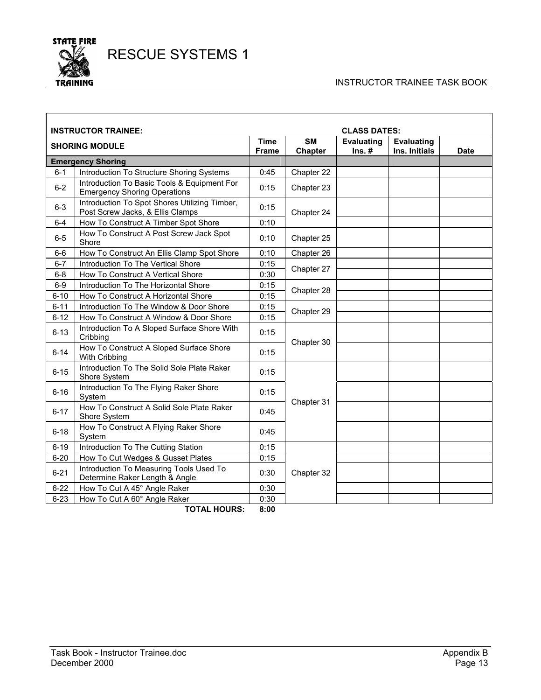

#### INSTRUCTOR TRAINEE TASK BOOK

| <b>CLASS DATES:</b><br><b>INSTRUCTOR TRAINEE:</b> |                                                                                    |                             |                      |                               |                                    |             |
|---------------------------------------------------|------------------------------------------------------------------------------------|-----------------------------|----------------------|-------------------------------|------------------------------------|-------------|
|                                                   | <b>SHORING MODULE</b>                                                              | <b>Time</b><br><b>Frame</b> | <b>SM</b><br>Chapter | <b>Evaluating</b><br>$Ins. #$ | <b>Evaluating</b><br>Ins. Initials | <b>Date</b> |
|                                                   | <b>Emergency Shoring</b>                                                           |                             |                      |                               |                                    |             |
| $6 - 1$                                           | Introduction To Structure Shoring Systems                                          | 0:45                        | Chapter 22           |                               |                                    |             |
| $6 - 2$                                           | Introduction To Basic Tools & Equipment For<br><b>Emergency Shoring Operations</b> | 0:15                        | Chapter 23           |                               |                                    |             |
| $6 - 3$                                           | Introduction To Spot Shores Utilizing Timber,<br>Post Screw Jacks, & Ellis Clamps  | 0:15                        | Chapter 24           |                               |                                    |             |
| $6-4$                                             | How To Construct A Timber Spot Shore                                               | 0:10                        |                      |                               |                                    |             |
| $6-5$                                             | How To Construct A Post Screw Jack Spot<br>Shore                                   | 0:10                        | Chapter 25           |                               |                                    |             |
| $6-6$                                             | How To Construct An Ellis Clamp Spot Shore                                         | 0:10                        | Chapter 26           |                               |                                    |             |
| $6 - 7$                                           | Introduction To The Vertical Shore                                                 | 0:15                        | Chapter 27           |                               |                                    |             |
| $6-8$                                             | How To Construct A Vertical Shore                                                  | 0:30                        |                      |                               |                                    |             |
| $6-9$                                             | Introduction To The Horizontal Shore                                               | 0:15                        | Chapter 28           |                               |                                    |             |
| $6 - 10$                                          | How To Construct A Horizontal Shore                                                | 0:15                        |                      |                               |                                    |             |
| $6 - 11$                                          | Introduction To The Window & Door Shore                                            | 0:15                        | Chapter 29           |                               |                                    |             |
| $6 - 12$                                          | How To Construct A Window & Door Shore                                             | 0:15                        |                      |                               |                                    |             |
| $6 - 13$                                          | Introduction To A Sloped Surface Shore With<br>Cribbing                            | 0:15                        | Chapter 30           |                               |                                    |             |
| $6 - 14$                                          | How To Construct A Sloped Surface Shore<br>With Cribbing                           | 0:15                        |                      |                               |                                    |             |
| $6 - 15$                                          | Introduction To The Solid Sole Plate Raker<br>Shore System                         | 0:15                        |                      |                               |                                    |             |
| $6 - 16$                                          | Introduction To The Flying Raker Shore<br>System                                   | 0:15                        | Chapter 31           |                               |                                    |             |
| $6 - 17$                                          | How To Construct A Solid Sole Plate Raker<br>Shore System                          | 0:45                        |                      |                               |                                    |             |
| $6 - 18$                                          | How To Construct A Flying Raker Shore<br>System                                    | 0:45                        |                      |                               |                                    |             |
| $6 - 19$                                          | Introduction To The Cutting Station                                                | 0:15                        |                      |                               |                                    |             |
| $6 - 20$                                          | How To Cut Wedges & Gusset Plates                                                  | 0:15                        |                      |                               |                                    |             |
| $6 - 21$                                          | Introduction To Measuring Tools Used To<br>Determine Raker Length & Angle          | 0:30                        | Chapter 32           |                               |                                    |             |
| $6 - 22$                                          | How To Cut A 45° Angle Raker                                                       | 0:30                        |                      |                               |                                    |             |
| $6 - 23$                                          | How To Cut A 60° Angle Raker                                                       | 0:30                        |                      |                               |                                    |             |

**TOTAL HOURS: 8:00**